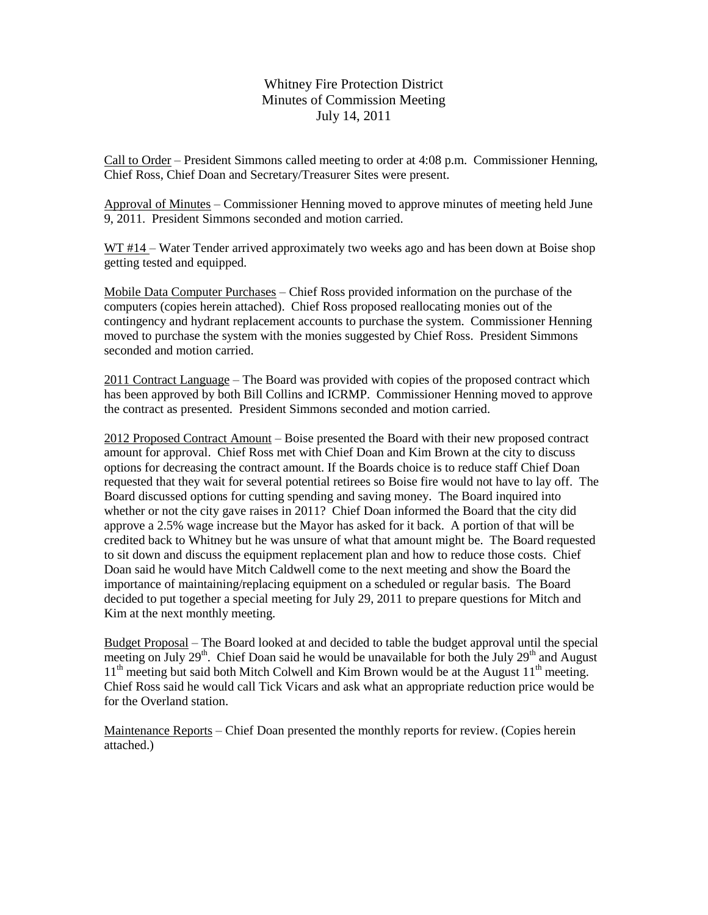Whitney Fire Protection District Minutes of Commission Meeting July 14, 2011

Call to Order – President Simmons called meeting to order at 4:08 p.m. Commissioner Henning, Chief Ross, Chief Doan and Secretary/Treasurer Sites were present.

Approval of Minutes – Commissioner Henning moved to approve minutes of meeting held June 9, 2011. President Simmons seconded and motion carried.

WT #14 – Water Tender arrived approximately two weeks ago and has been down at Boise shop getting tested and equipped.

Mobile Data Computer Purchases – Chief Ross provided information on the purchase of the computers (copies herein attached). Chief Ross proposed reallocating monies out of the contingency and hydrant replacement accounts to purchase the system. Commissioner Henning moved to purchase the system with the monies suggested by Chief Ross. President Simmons seconded and motion carried.

2011 Contract Language – The Board was provided with copies of the proposed contract which has been approved by both Bill Collins and ICRMP. Commissioner Henning moved to approve the contract as presented. President Simmons seconded and motion carried.

2012 Proposed Contract Amount – Boise presented the Board with their new proposed contract amount for approval. Chief Ross met with Chief Doan and Kim Brown at the city to discuss options for decreasing the contract amount. If the Boards choice is to reduce staff Chief Doan requested that they wait for several potential retirees so Boise fire would not have to lay off. The Board discussed options for cutting spending and saving money. The Board inquired into whether or not the city gave raises in 2011? Chief Doan informed the Board that the city did approve a 2.5% wage increase but the Mayor has asked for it back. A portion of that will be credited back to Whitney but he was unsure of what that amount might be. The Board requested to sit down and discuss the equipment replacement plan and how to reduce those costs. Chief Doan said he would have Mitch Caldwell come to the next meeting and show the Board the importance of maintaining/replacing equipment on a scheduled or regular basis. The Board decided to put together a special meeting for July 29, 2011 to prepare questions for Mitch and Kim at the next monthly meeting.

Budget Proposal – The Board looked at and decided to table the budget approval until the special meeting on July 29<sup>th</sup>. Chief Doan said he would be unavailable for both the July 29<sup>th</sup> and August  $11<sup>th</sup>$  meeting but said both Mitch Colwell and Kim Brown would be at the August  $11<sup>th</sup>$  meeting. Chief Ross said he would call Tick Vicars and ask what an appropriate reduction price would be for the Overland station.

Maintenance Reports – Chief Doan presented the monthly reports for review. (Copies herein attached.)